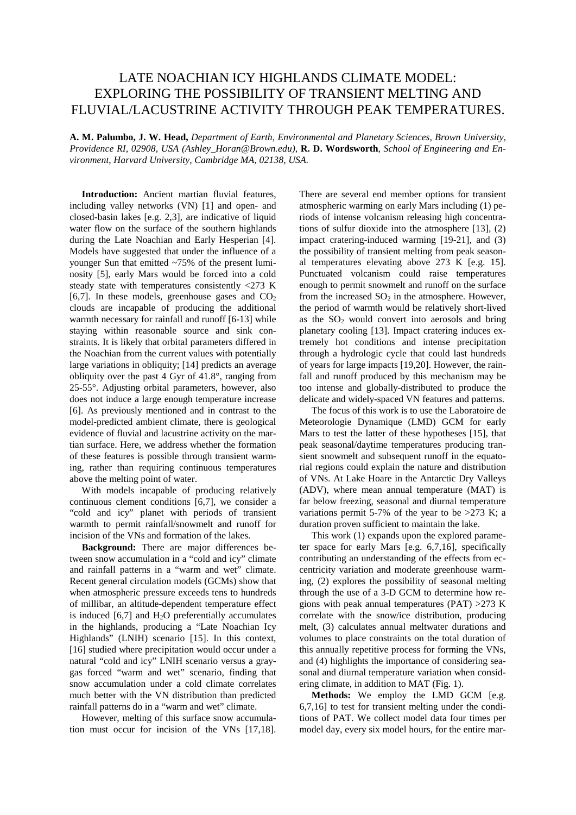## LATE NOACHIAN ICY HIGHLANDS CLIMATE MODEL: EXPLORING THE POSSIBILITY OF TRANSIENT MELTING AND FLUVIAL/LACUSTRINE ACTIVITY THROUGH PEAK TEMPERATURES.

**A. M. Palumbo, J. W. Head,** *Department of Earth, Environmental and Planetary Sciences, Brown University, Providence RI, 02908, USA (Ashley\_Horan@Brown.edu)*, **R. D. Wordsworth**, *School of Engineering and Environment, Harvard University, Cambridge MA, 02138, USA.*

 **Introduction:** Ancient martian fluvial features, including valley networks (VN) [1] and open- and closed-basin lakes [e.g. 2,3], are indicative of liquid water flow on the surface of the southern highlands during the Late Noachian and Early Hesperian [4]. Models have suggested that under the influence of a younger Sun that emitted ~75% of the present luminosity [5], early Mars would be forced into a cold steady state with temperatures consistently <273 K [6,7]. In these models, greenhouse gases and  $CO<sub>2</sub>$ clouds are incapable of producing the additional warmth necessary for rainfall and runoff [6-13] while staying within reasonable source and sink constraints. It is likely that orbital parameters differed in the Noachian from the current values with potentially large variations in obliquity; [14] predicts an average obliquity over the past 4 Gyr of 41.8°, ranging from 25-55°. Adjusting orbital parameters, however, also does not induce a large enough temperature increase [6]. As previously mentioned and in contrast to the model-predicted ambient climate, there is geological evidence of fluvial and lacustrine activity on the martian surface. Here, we address whether the formation of these features is possible through transient warming, rather than requiring continuous temperatures above the melting point of water.

 With models incapable of producing relatively continuous clement conditions [6,7], we consider a "cold and icy" planet with periods of transient warmth to permit rainfall/snowmelt and runoff for incision of the VNs and formation of the lakes.

 **Background:** There are major differences between snow accumulation in a "cold and icy" climate and rainfall patterns in a "warm and wet" climate. Recent general circulation models (GCMs) show that when atmospheric pressure exceeds tens to hundreds of millibar, an altitude-dependent temperature effect is induced  $[6,7]$  and  $H<sub>2</sub>O$  preferentially accumulates in the highlands, producing a "Late Noachian Icy Highlands" (LNIH) scenario [15]. In this context, [16] studied where precipitation would occur under a natural "cold and icy" LNIH scenario versus a graygas forced "warm and wet" scenario, finding that snow accumulation under a cold climate correlates much better with the VN distribution than predicted rainfall patterns do in a "warm and wet" climate.

 However, melting of this surface snow accumulation must occur for incision of the VNs [17,18]. There are several end member options for transient atmospheric warming on early Mars including (1) periods of intense volcanism releasing high concentrations of sulfur dioxide into the atmosphere [13], (2) impact cratering-induced warming [19-21], and (3) the possibility of transient melting from peak seasonal temperatures elevating above 273 K [e.g. 15]. Punctuated volcanism could raise temperatures enough to permit snowmelt and runoff on the surface from the increased  $SO<sub>2</sub>$  in the atmosphere. However, the period of warmth would be relatively short-lived as the  $SO<sub>2</sub>$  would convert into aerosols and bring planetary cooling [13]. Impact cratering induces extremely hot conditions and intense precipitation through a hydrologic cycle that could last hundreds of years for large impacts [19,20]. However, the rainfall and runoff produced by this mechanism may be too intense and globally-distributed to produce the delicate and widely-spaced VN features and patterns.

 The focus of this work is to use the Laboratoire de Meteorologie Dynamique (LMD) GCM for early Mars to test the latter of these hypotheses [15], that peak seasonal/daytime temperatures producing transient snowmelt and subsequent runoff in the equatorial regions could explain the nature and distribution of VNs. At Lake Hoare in the Antarctic Dry Valleys (ADV), where mean annual temperature (MAT) is far below freezing, seasonal and diurnal temperature variations permit 5-7% of the year to be  $>273$  K; a duration proven sufficient to maintain the lake.

 This work (1) expands upon the explored parameter space for early Mars [e.g. 6,7,16], specifically contributing an understanding of the effects from eccentricity variation and moderate greenhouse warming, (2) explores the possibility of seasonal melting through the use of a 3-D GCM to determine how regions with peak annual temperatures (PAT) >273 K correlate with the snow/ice distribution, producing melt, (3) calculates annual meltwater durations and volumes to place constraints on the total duration of this annually repetitive process for forming the VNs, and (4) highlights the importance of considering seasonal and diurnal temperature variation when considering climate, in addition to MAT (Fig. 1).

 **Methods:** We employ the LMD GCM [e.g. 6,7,16] to test for transient melting under the conditions of PAT. We collect model data four times per model day, every six model hours, for the entire mar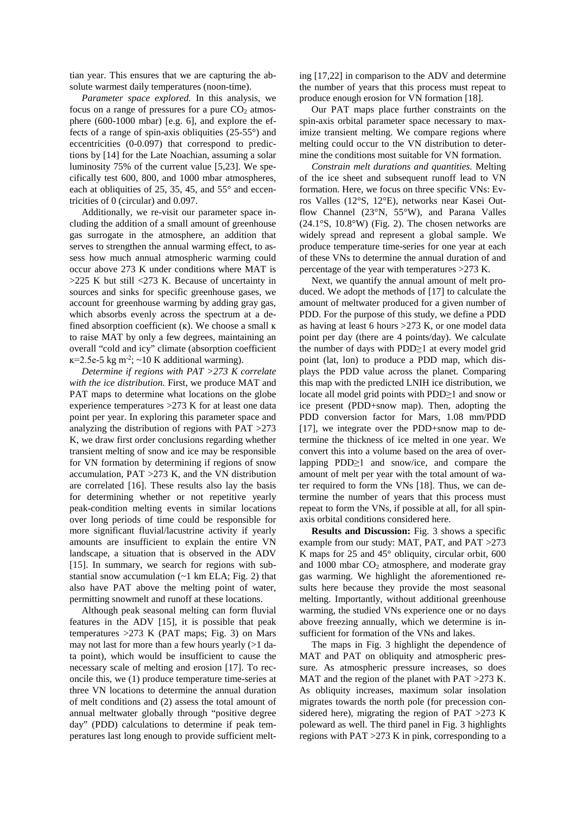tian year. This ensures that we are capturing the absolute warmest daily temperatures (noon-time).

 *Parameter space explored.* In this analysis, we focus on a range of pressures for a pure  $CO<sub>2</sub>$  atmosphere (600-1000 mbar) [e.g. 6], and explore the effects of a range of spin-axis obliquities (25-55°) and eccentricities (0-0.097) that correspond to predictions by [14] for the Late Noachian, assuming a solar luminosity 75% of the current value [5,23]. We specifically test 600, 800, and 1000 mbar atmospheres, each at obliquities of 25, 35, 45, and 55° and eccentricities of 0 (circular) and 0.097.

 Additionally, we re-visit our parameter space including the addition of a small amount of greenhouse gas surrogate in the atmosphere, an addition that serves to strengthen the annual warming effect, to assess how much annual atmospheric warming could occur above 273 K under conditions where MAT is >225 K but still <273 K. Because of uncertainty in sources and sinks for specific greenhouse gases, we account for greenhouse warming by adding gray gas, which absorbs evenly across the spectrum at a defined absorption coefficient (K). We choose a small K to raise MAT by only a few degrees, maintaining an overall "cold and icy" climate (absorption coefficient  $\kappa$ =2.5e-5 kg m<sup>-2</sup>; ~10 K additional warming).

 *Determine if regions with PAT >273 K correlate with the ice distribution.* First, we produce MAT and PAT maps to determine what locations on the globe experience temperatures >273 K for at least one data point per year. In exploring this parameter space and analyzing the distribution of regions with PAT >273 K, we draw first order conclusions regarding whether transient melting of snow and ice may be responsible for VN formation by determining if regions of snow accumulation, PAT >273 K, and the VN distribution are correlated [16]. These results also lay the basis for determining whether or not repetitive yearly peak-condition melting events in similar locations over long periods of time could be responsible for more significant fluvial/lacustrine activity if yearly amounts are insufficient to explain the entire VN landscape, a situation that is observed in the ADV [15]. In summary, we search for regions with substantial snow accumulation (~1 km ELA; Fig. 2) that also have PAT above the melting point of water, permitting snowmelt and runoff at these locations.

 Although peak seasonal melting can form fluvial features in the ADV [15], it is possible that peak temperatures  $>273$  K (PAT maps; Fig. 3) on Mars may not last for more than a few hours yearly (>1 data point), which would be insufficient to cause the necessary scale of melting and erosion [17]. To reconcile this, we (1) produce temperature time-series at three VN locations to determine the annual duration of melt conditions and (2) assess the total amount of annual meltwater globally through "positive degree day" (PDD) calculations to determine if peak temperatures last long enough to provide sufficient melting [17,22] in comparison to the ADV and determine the number of years that this process must repeat to produce enough erosion for VN formation [18].

 Our PAT maps place further constraints on the spin-axis orbital parameter space necessary to maximize transient melting. We compare regions where melting could occur to the VN distribution to determine the conditions most suitable for VN formation.

 *Constrain melt durations and quantities.* Melting of the ice sheet and subsequent runoff lead to VN formation. Here, we focus on three specific VNs: Evros Valles (12°S, 12°E), networks near Kasei Outflow Channel (23°N, 55°W), and Parana Valles (24.1°S, 10.8°W) (Fig. 2). The chosen networks are widely spread and represent a global sample. We produce temperature time-series for one year at each of these VNs to determine the annual duration of and percentage of the year with temperatures >273 K.

 Next, we quantify the annual amount of melt produced. We adopt the methods of [17] to calculate the amount of meltwater produced for a given number of PDD. For the purpose of this study, we define a PDD as having at least 6 hours  $>273$  K, or one model data point per day (there are 4 points/day). We calculate the number of days with PDD≥1 at every model grid point (lat, lon) to produce a PDD map, which displays the PDD value across the planet. Comparing this map with the predicted LNIH ice distribution, we locate all model grid points with PDD≥1 and snow or ice present (PDD+snow map). Then, adopting the PDD conversion factor for Mars, 1.08 mm/PDD [17], we integrate over the PDD+snow map to determine the thickness of ice melted in one year. We convert this into a volume based on the area of overlapping PDD≥1 and snow/ice, and compare the amount of melt per year with the total amount of water required to form the VNs [18]. Thus, we can determine the number of years that this process must repeat to form the VNs, if possible at all, for all spinaxis orbital conditions considered here.

 **Results and Discussion:** Fig. 3 shows a specific example from our study: MAT, PAT, and PAT >273 K maps for 25 and 45° obliquity, circular orbit, 600 and  $1000$  mbar  $CO<sub>2</sub>$  atmosphere, and moderate gray gas warming. We highlight the aforementioned results here because they provide the most seasonal melting. Importantly, without additional greenhouse warming, the studied VNs experience one or no days above freezing annually, which we determine is insufficient for formation of the VNs and lakes.

 The maps in Fig. 3 highlight the dependence of MAT and PAT on obliquity and atmospheric pressure. As atmospheric pressure increases, so does MAT and the region of the planet with PAT > 273 K. As obliquity increases, maximum solar insolation migrates towards the north pole (for precession considered here), migrating the region of PAT  $>273$  K poleward as well. The third panel in Fig. 3 highlights regions with PAT  $>273$  K in pink, corresponding to a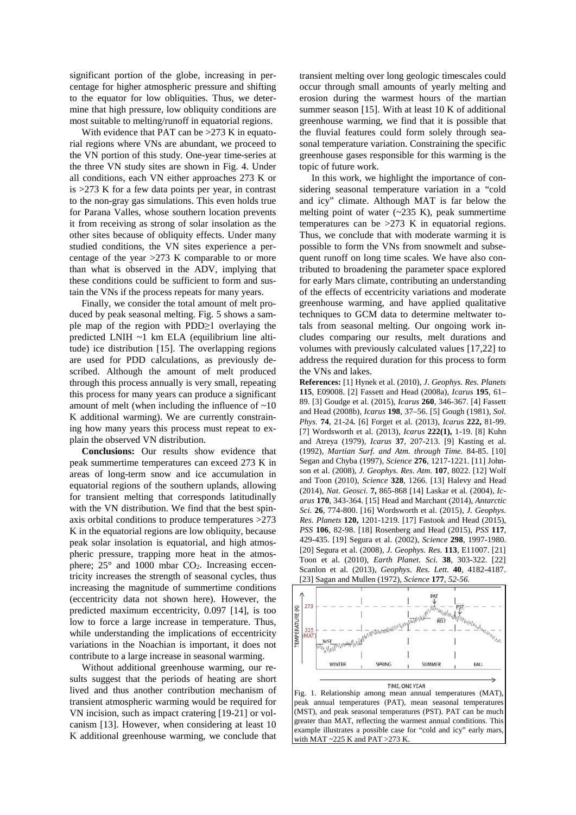significant portion of the globe, increasing in percentage for higher atmospheric pressure and shifting to the equator for low obliquities. Thus, we determine that high pressure, low obliquity conditions are most suitable to melting/runoff in equatorial regions.

With evidence that PAT can be > 273 K in equatorial regions where VNs are abundant, we proceed to the VN portion of this study. One-year time-series at the three VN study sites are shown in Fig. 4. Under all conditions, each VN either approaches 273 K or is  $>273$  K for a few data points per year, in contrast to the non-gray gas simulations. This even holds true for Parana Valles, whose southern location prevents it from receiving as strong of solar insolation as the other sites because of obliquity effects. Under many studied conditions, the VN sites experience a percentage of the year >273 K comparable to or more than what is observed in the ADV, implying that these conditions could be sufficient to form and sustain the VNs if the process repeats for many years.

 Finally, we consider the total amount of melt produced by peak seasonal melting. Fig. 5 shows a sample map of the region with PDD≥1 overlaying the predicted LNIH ~1 km ELA (equilibrium line altitude) ice distribution [15]. The overlapping regions are used for PDD calculations, as previously described. Although the amount of melt produced through this process annually is very small, repeating this process for many years can produce a significant amount of melt (when including the influence of  $~10$ K additional warming). We are currently constraining how many years this process must repeat to explain the observed VN distribution.

 **Conclusions:** Our results show evidence that peak summertime temperatures can exceed 273 K in areas of long-term snow and ice accumulation in equatorial regions of the southern uplands, allowing for transient melting that corresponds latitudinally with the VN distribution. We find that the best spinaxis orbital conditions to produce temperatures >273 K in the equatorial regions are low obliquity, because peak solar insolation is equatorial, and high atmospheric pressure, trapping more heat in the atmosphere;  $25^{\circ}$  and 1000 mbar  $CO<sub>2</sub>$ . Increasing eccentricity increases the strength of seasonal cycles, thus increasing the magnitude of summertime conditions (eccentricity data not shown here). However, the predicted maximum eccentricity, 0.097 [14], is too low to force a large increase in temperature. Thus, while understanding the implications of eccentricity variations in the Noachian is important, it does not contribute to a large increase in seasonal warming.

 Without additional greenhouse warming, our results suggest that the periods of heating are short lived and thus another contribution mechanism of transient atmospheric warming would be required for VN incision, such as impact cratering [19-21] or volcanism [13]. However, when considering at least 10 K additional greenhouse warming, we conclude that

transient melting over long geologic timescales could occur through small amounts of yearly melting and erosion during the warmest hours of the martian summer season [15]. With at least 10 K of additional greenhouse warming, we find that it is possible that the fluvial features could form solely through seasonal temperature variation. Constraining the specific greenhouse gases responsible for this warming is the topic of future work.

 In this work, we highlight the importance of considering seasonal temperature variation in a "cold and icy" climate. Although MAT is far below the melting point of water  $(-235 \text{ K})$ , peak summertime temperatures can be >273 K in equatorial regions. Thus, we conclude that with moderate warming it is possible to form the VNs from snowmelt and subsequent runoff on long time scales. We have also contributed to broadening the parameter space explored for early Mars climate, contributing an understanding of the effects of eccentricity variations and moderate greenhouse warming, and have applied qualitative techniques to GCM data to determine meltwater totals from seasonal melting. Our ongoing work includes comparing our results, melt durations and volumes with previously calculated values [17,22] to address the required duration for this process to form the VNs and lakes.

**References:** [1] Hynek et al. (2010), *J*. *Geophys. Res. Planets* **115**, E09008. [2] Fassett and Head (2008a), *Icarus* **195**, 61– 89. [3] Goudge et al. (2015), *Icarus* **260**, 346-367. [4] Fassett and Head (2008b), *Icarus* **198**, 37–56. [5] Gough (1981), *Sol. Phys.* **74**, 21-24*.* [6] Forget et al. (2013), *Icarus* **222,** 81-99. [7] Wordsworth et al. (2013), *Icarus* **222(1),** 1-19. [8] Kuhn and Atreya (1979), *Icarus* **37**, 207-213. [9] Kasting et al. (1992), *Martian Surf. and Atm. through Time.* 84-85. [10] Segan and Chyba (1997), *Science* **276**, 1217-1221. [11] Johnson et al. (2008), *J. Geophys. Res. Atm.* **107**, 8022. [12] Wolf and Toon (2010), *Science* **328**, 1266. [13] Halevy and Head (2014), *Nat. Geosci.* **7,** 865-868 [14] Laskar et al. (2004), *Icarus* **170**, 343-364. [15] Head and Marchant (2014), *Antarctic Sci.* **26**, 774-800. [16] Wordsworth et al. (2015), *J. Geophys. Res. Planets* **120,** 1201-1219. [17] Fastook and Head (2015), *PSS* **106**, 82-98. [18] Rosenberg and Head (2015), *PSS* **117**, 429-435. [19] Segura et al. (2002), *Science* **298**, 1997-1980. [20] Segura et al. (2008), *J. Geophys. Res.* **113**, E11007. [21] Toon et al. (2010), *Earth Planet. Sci.* **38**, 303-322. [22] Scanlon et al. (2013), *Geophys. Res. Lett.* **40**, 4182-4187. [23] Sagan and Mullen (1972), *Science* **177***, 52-56*.